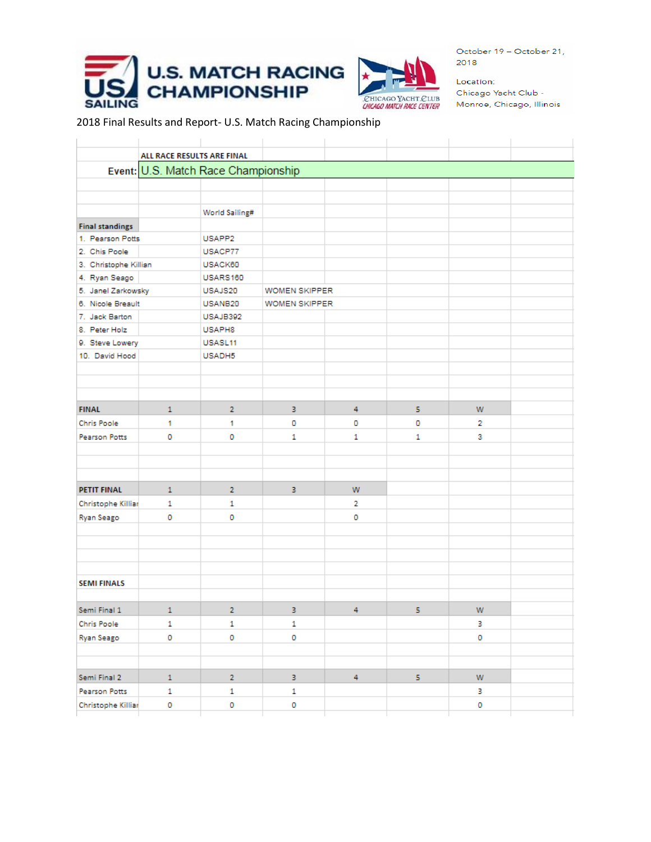



Location: Chicago Yacht Club -Monroe, Chicago, Illinois

2018 Final Results and Report- U.S. Match Racing Championship

| Event: U.S. Match Race Championship                                              |                                                                                                                        |                               |                                   |                                                         |   |                             |  |  |  |  |
|----------------------------------------------------------------------------------|------------------------------------------------------------------------------------------------------------------------|-------------------------------|-----------------------------------|---------------------------------------------------------|---|-----------------------------|--|--|--|--|
|                                                                                  |                                                                                                                        |                               |                                   |                                                         |   |                             |  |  |  |  |
|                                                                                  |                                                                                                                        |                               |                                   |                                                         |   |                             |  |  |  |  |
|                                                                                  | World Sailing#                                                                                                         |                               |                                   |                                                         |   |                             |  |  |  |  |
|                                                                                  |                                                                                                                        |                               |                                   |                                                         |   |                             |  |  |  |  |
|                                                                                  | USAPP2                                                                                                                 |                               |                                   |                                                         |   |                             |  |  |  |  |
|                                                                                  | USACP77                                                                                                                |                               |                                   |                                                         |   |                             |  |  |  |  |
|                                                                                  | USACK60                                                                                                                |                               |                                   |                                                         |   |                             |  |  |  |  |
|                                                                                  | USARS160                                                                                                               |                               |                                   |                                                         |   |                             |  |  |  |  |
|                                                                                  | USAJS20                                                                                                                |                               |                                   |                                                         |   |                             |  |  |  |  |
|                                                                                  | USANB20                                                                                                                |                               |                                   |                                                         |   |                             |  |  |  |  |
|                                                                                  | USAJB392                                                                                                               |                               |                                   |                                                         |   |                             |  |  |  |  |
|                                                                                  | USAPH8                                                                                                                 |                               |                                   |                                                         |   |                             |  |  |  |  |
|                                                                                  | USASL11                                                                                                                |                               |                                   |                                                         |   |                             |  |  |  |  |
|                                                                                  | USADH5                                                                                                                 |                               |                                   |                                                         |   |                             |  |  |  |  |
|                                                                                  |                                                                                                                        |                               |                                   |                                                         |   |                             |  |  |  |  |
|                                                                                  |                                                                                                                        |                               |                                   |                                                         |   |                             |  |  |  |  |
|                                                                                  |                                                                                                                        |                               |                                   |                                                         |   |                             |  |  |  |  |
| $\mathbf{1}$                                                                     | $\overline{2}$                                                                                                         | 3                             | 4                                 | 5                                                       | W |                             |  |  |  |  |
| 1                                                                                | 1                                                                                                                      | 0                             | 0                                 | o                                                       | 2 |                             |  |  |  |  |
| 0                                                                                | 0                                                                                                                      | $\mathbf{1}$                  | 1                                 | $\mathbf{1}$                                            | 3 |                             |  |  |  |  |
|                                                                                  |                                                                                                                        |                               |                                   |                                                         |   |                             |  |  |  |  |
|                                                                                  |                                                                                                                        |                               |                                   |                                                         |   |                             |  |  |  |  |
|                                                                                  |                                                                                                                        |                               |                                   |                                                         |   |                             |  |  |  |  |
| $\mathbf{1}$                                                                     | $\overline{2}$                                                                                                         | 3.                            | w                                 |                                                         |   |                             |  |  |  |  |
| $\mathbf{1}$                                                                     | 1                                                                                                                      |                               | $\overline{2}$                    |                                                         |   |                             |  |  |  |  |
| o                                                                                | o                                                                                                                      |                               | o                                 |                                                         |   |                             |  |  |  |  |
|                                                                                  |                                                                                                                        |                               |                                   |                                                         |   |                             |  |  |  |  |
|                                                                                  |                                                                                                                        |                               |                                   |                                                         |   |                             |  |  |  |  |
|                                                                                  |                                                                                                                        |                               |                                   |                                                         |   |                             |  |  |  |  |
|                                                                                  |                                                                                                                        |                               |                                   |                                                         |   |                             |  |  |  |  |
|                                                                                  |                                                                                                                        |                               |                                   |                                                         |   |                             |  |  |  |  |
|                                                                                  |                                                                                                                        |                               |                                   |                                                         |   |                             |  |  |  |  |
| $\mathbf{1}$                                                                     | $\overline{2}$                                                                                                         | 3                             | 4                                 | 5                                                       | W |                             |  |  |  |  |
|                                                                                  |                                                                                                                        |                               |                                   |                                                         |   |                             |  |  |  |  |
|                                                                                  |                                                                                                                        |                               |                                   |                                                         |   |                             |  |  |  |  |
|                                                                                  |                                                                                                                        |                               |                                   |                                                         |   |                             |  |  |  |  |
|                                                                                  |                                                                                                                        |                               |                                   |                                                         |   |                             |  |  |  |  |
|                                                                                  |                                                                                                                        |                               |                                   |                                                         |   |                             |  |  |  |  |
|                                                                                  |                                                                                                                        |                               |                                   |                                                         |   |                             |  |  |  |  |
| $\mathbf 0$                                                                      | 0                                                                                                                      | o                             |                                   |                                                         | 0 |                             |  |  |  |  |
| 6. Nicole Breault<br>9. Steve Lowery<br>Christophe Killiar<br>Christophe Killiar | 1. Pearson Potts<br>3. Christophe Killian<br>5. Janel Zarkowsky<br>$\mathbf{1}$<br>$\circ$<br>$1$ $\,$<br>$\mathbf{1}$ | 1<br>0<br>$\overline{2}$<br>1 | 1<br>$\circ$<br>3<br>$\mathbf{1}$ | WOMEN SKIPPER<br><b>WOMEN SKIPPER</b><br>$\overline{4}$ | 5 | з<br>$\mathbf 0$<br>W.<br>з |  |  |  |  |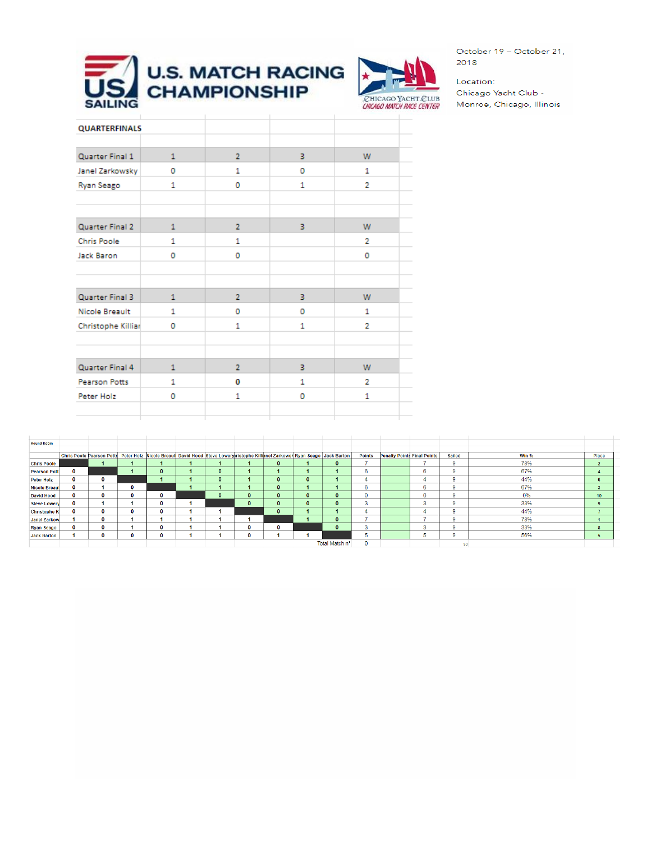



Location: Chicago Yacht Club -Monroe, Chicago, Illinois

| <b>QUARTERFINALS</b> |              |                |    |                |  |
|----------------------|--------------|----------------|----|----------------|--|
| Quarter Final 1      | $\mathbf{1}$ | $\overline{2}$ | 3. | W              |  |
| Janel Zarkowsky      | O            | 1              | o  | 1              |  |
| Ryan Seago           | 1            | o              | 1  | $\overline{2}$ |  |
|                      |              |                |    |                |  |
| Quarter Final 2      | 1            | $\overline{2}$ | 3  | W              |  |
| <b>Chris Poole</b>   | 1            | 1              |    | $\overline{2}$ |  |
| Jack Baron           | O            | 0              |    | o              |  |
|                      |              |                |    |                |  |
|                      |              |                |    |                |  |
| Quarter Final 3      | 1            | $\overline{2}$ | 3. | W.             |  |
| Nicole Breault       | 1            | 0              | o  | 1              |  |
| Christophe Killiar   | o            | 1              | 1  | $\overline{2}$ |  |
|                      |              |                |    |                |  |
|                      |              |                |    |                |  |
| Quarter Final 4      | 1            | $\overline{2}$ | 3. | W              |  |
| Pearson Potts        | 1            | 0              | 1  | $\overline{2}$ |  |
| Peter Holz           | 0            | 1              | 0  | 1              |  |
|                      |              |                |    |                |  |
|                      |              |                |    |                |  |

| <b>Round Robin</b>  |   |                                                                                                                                 |   |          |              |              |              |                |               |                                    |          |               |       |                 |  |
|---------------------|---|---------------------------------------------------------------------------------------------------------------------------------|---|----------|--------------|--------------|--------------|----------------|---------------|------------------------------------|----------|---------------|-------|-----------------|--|
|                     |   |                                                                                                                                 |   |          |              |              |              |                |               |                                    |          |               |       |                 |  |
|                     |   | Chris Poole Pearson Potts Peter Holz Nicole Breault David Hood Steve Lowery ristophe Killianel Zarkows   Ryan Seago Jack Barton |   |          |              |              |              |                | <b>Points</b> | <b>Penalty Points Final Points</b> |          | <b>Sailed</b> | Win % | Place           |  |
| <b>Chris Poole</b>  |   |                                                                                                                                 |   |          |              | $\Omega$     |              | $\mathbf{0}$   |               |                                    | -        | 9             | 78%   |                 |  |
| <b>Pearson Pott</b> |   |                                                                                                                                 |   | $\Omega$ | $\mathbf{0}$ |              |              |                | 6             |                                    | 6        | 9             | 67%   |                 |  |
| <b>Peter Holz</b>   | 0 | $\mathbf{o}$                                                                                                                    |   |          | $\mathbf{0}$ | $\mathbf{0}$ | $\mathbf{0}$ |                |               |                                    | 4        | 9             | 44%   | 6               |  |
| Nicole Breau        | 0 |                                                                                                                                 | o |          |              | $\mathbf{0}$ |              |                | 6             |                                    | 6        | 9.            | 67%   |                 |  |
| <b>David Hood</b>   | 0 | 0                                                                                                                               |   |          | $\mathbf{0}$ | 0            | $\bf{0}$     |                | $\Omega$      |                                    | $\Omega$ | 9             | 0%    | 10 <sup>°</sup> |  |
| <b>Steve Lowery</b> | 0 |                                                                                                                                 |   |          |              | 0            | $\Omega$     |                | з             |                                    | 3        | 9.            | 33%   | $\mathbf{q}$    |  |
| <b>Christophe K</b> |   | n                                                                                                                               |   |          |              | $\mathbf{0}$ |              |                |               |                                    | Δ        | 9.            | 44%   |                 |  |
| <b>Janel Zarkow</b> |   | 0                                                                                                                               |   |          |              |              |              |                |               |                                    |          | 9.            | 78%   |                 |  |
| <b>Ryan Seago</b>   | 0 | $\mathbf 0$                                                                                                                     |   |          |              | 0            |              |                | $\sim$        |                                    | 3        | 9.            | 33%   | 8               |  |
| <b>Jack Barton</b>  |   | 0                                                                                                                               |   |          |              |              |              |                | ь             |                                    | ь        | 9.            | 56%   |                 |  |
|                     |   |                                                                                                                                 |   |          |              |              |              | Total Match nº | $\sqrt{2}$    |                                    |          | .             |       |                 |  |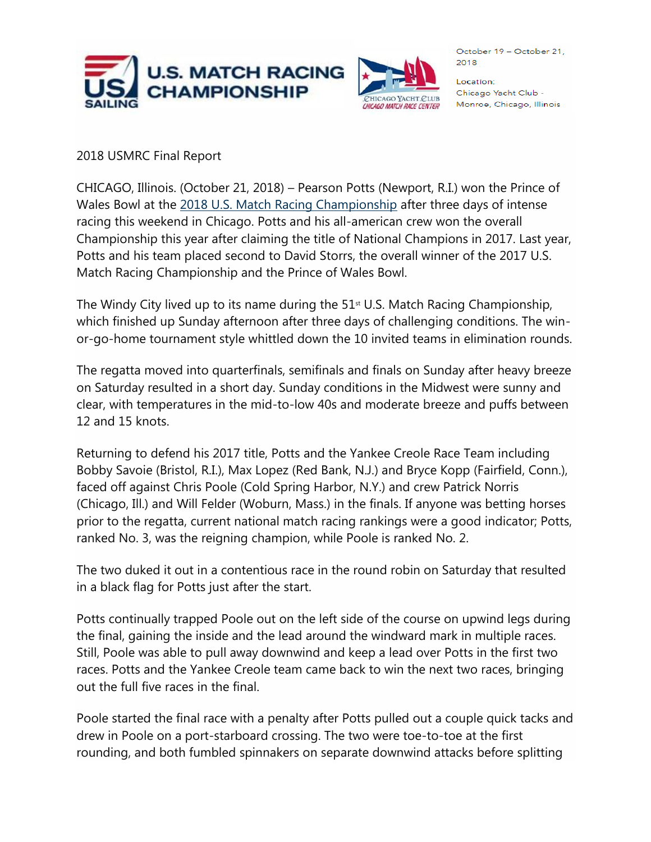



Location: Chicago Yacht Club -Monroe, Chicago, Illinois

## 2018 USMRC Final Report

CHICAGO, Illinois. (October 21, 2018) – Pearson Potts (Newport, R.I.) won the Prince of Wales Bowl at the [2018 U.S. Match Racing Championship](https://www.ussailing.org/competition/championships/u-s-match-racing-championship/) after three days of intense racing this weekend in Chicago. Potts and his all-american crew won the overall Championship this year after claiming the title of National Champions in 2017. Last year, Potts and his team placed second to David Storrs, the overall winner of the 2017 U.S. Match Racing Championship and the Prince of Wales Bowl.

The Windy City lived up to its name during the  $51<sup>st</sup>$  U.S. Match Racing Championship, which finished up Sunday afternoon after three days of challenging conditions. The winor-go-home tournament style whittled down the 10 invited teams in elimination rounds.

The regatta moved into quarterfinals, semifinals and finals on Sunday after heavy breeze on Saturday resulted in a short day. Sunday conditions in the Midwest were sunny and clear, with temperatures in the mid-to-low 40s and moderate breeze and puffs between 12 and 15 knots.

Returning to defend his 2017 title, Potts and the Yankee Creole Race Team including Bobby Savoie (Bristol, R.I.), Max Lopez (Red Bank, N.J.) and Bryce Kopp (Fairfield, Conn.), faced off against Chris Poole (Cold Spring Harbor, N.Y.) and crew Patrick Norris (Chicago, Ill.) and Will Felder (Woburn, Mass.) in the finals. If anyone was betting horses prior to the regatta, current national match racing rankings were a good indicator; Potts, ranked No. 3, was the reigning champion, while Poole is ranked No. 2.

The two duked it out in a contentious race in the round robin on Saturday that resulted in a black flag for Potts just after the start.

Potts continually trapped Poole out on the left side of the course on upwind legs during the final, gaining the inside and the lead around the windward mark in multiple races. Still, Poole was able to pull away downwind and keep a lead over Potts in the first two races. Potts and the Yankee Creole team came back to win the next two races, bringing out the full five races in the final.

Poole started the final race with a penalty after Potts pulled out a couple quick tacks and drew in Poole on a port-starboard crossing. The two were toe-to-toe at the first rounding, and both fumbled spinnakers on separate downwind attacks before splitting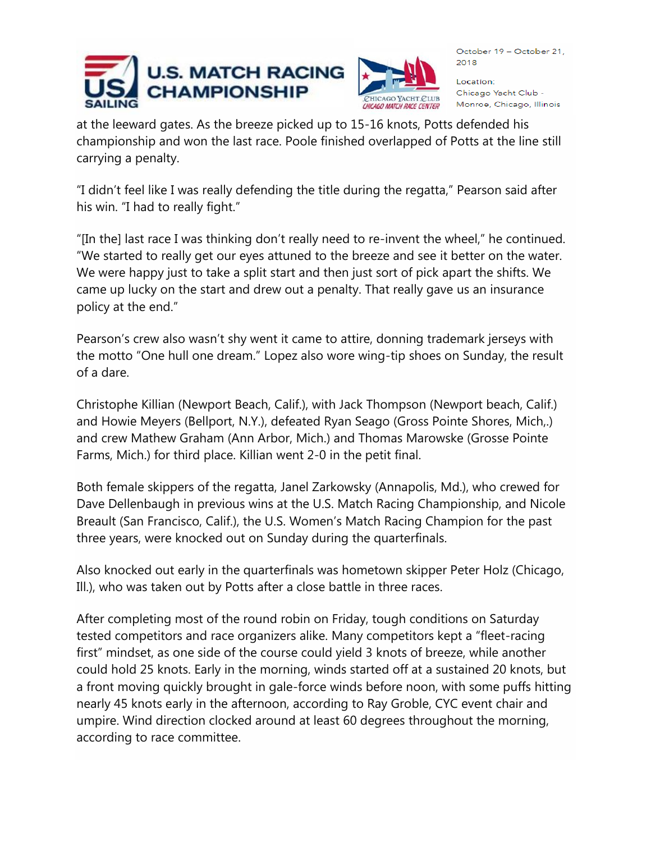



Location: Chicago Yacht Club -Monroe, Chicago, Illinois

at the leeward gates. As the breeze picked up to 15-16 knots, Potts defended his championship and won the last race. Poole finished overlapped of Potts at the line still carrying a penalty.

"I didn't feel like I was really defending the title during the regatta," Pearson said after his win. "I had to really fight."

"[In the] last race I was thinking don't really need to re-invent the wheel," he continued. "We started to really get our eyes attuned to the breeze and see it better on the water. We were happy just to take a split start and then just sort of pick apart the shifts. We came up lucky on the start and drew out a penalty. That really gave us an insurance policy at the end."

Pearson's crew also wasn't shy went it came to attire, donning trademark jerseys with the motto "One hull one dream." Lopez also wore wing-tip shoes on Sunday, the result of a dare.

Christophe Killian (Newport Beach, Calif.), with Jack Thompson (Newport beach, Calif.) and Howie Meyers (Bellport, N.Y.), defeated Ryan Seago (Gross Pointe Shores, Mich,.) and crew Mathew Graham (Ann Arbor, Mich.) and Thomas Marowske (Grosse Pointe Farms, Mich.) for third place. Killian went 2-0 in the petit final.

Both female skippers of the regatta, Janel Zarkowsky (Annapolis, Md.), who crewed for Dave Dellenbaugh in previous wins at the U.S. Match Racing Championship, and Nicole Breault (San Francisco, Calif.), the U.S. Women's Match Racing Champion for the past three years, were knocked out on Sunday during the quarterfinals.

Also knocked out early in the quarterfinals was hometown skipper Peter Holz (Chicago, Ill.), who was taken out by Potts after a close battle in three races.

After completing most of the round robin on Friday, tough conditions on Saturday tested competitors and race organizers alike. Many competitors kept a "fleet-racing first" mindset, as one side of the course could yield 3 knots of breeze, while another could hold 25 knots. Early in the morning, winds started off at a sustained 20 knots, but a front moving quickly brought in gale-force winds before noon, with some puffs hitting nearly 45 knots early in the afternoon, according to Ray Groble, CYC event chair and umpire. Wind direction clocked around at least 60 degrees throughout the morning, according to race committee.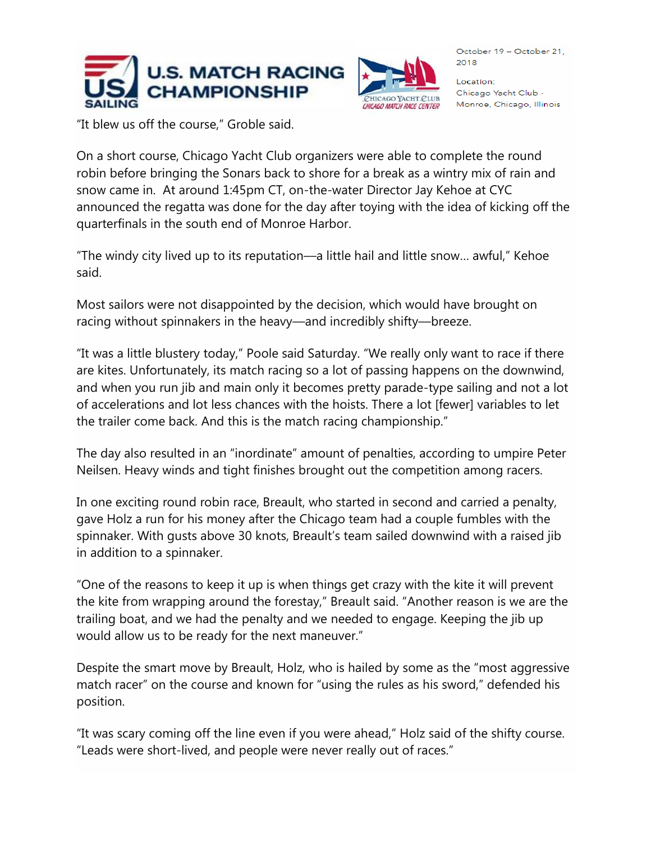



Location: Chicago Yacht Club -Monroe, Chicago, Illinois

"It blew us off the course," Groble said.

On a short course, Chicago Yacht Club organizers were able to complete the round robin before bringing the Sonars back to shore for a break as a wintry mix of rain and snow came in. At around 1:45pm CT, on-the-water Director Jay Kehoe at CYC announced the regatta was done for the day after toying with the idea of kicking off the quarterfinals in the south end of Monroe Harbor.

"The windy city lived up to its reputation––a little hail and little snow… awful," Kehoe said.

Most sailors were not disappointed by the decision, which would have brought on racing without spinnakers in the heavy––and incredibly shifty––breeze.

"It was a little blustery today," Poole said Saturday. "We really only want to race if there are kites. Unfortunately, its match racing so a lot of passing happens on the downwind, and when you run jib and main only it becomes pretty parade-type sailing and not a lot of accelerations and lot less chances with the hoists. There a lot [fewer] variables to let the trailer come back. And this is the match racing championship."

The day also resulted in an "inordinate" amount of penalties, according to umpire Peter Neilsen. Heavy winds and tight finishes brought out the competition among racers.

In one exciting round robin race, Breault, who started in second and carried a penalty, gave Holz a run for his money after the Chicago team had a couple fumbles with the spinnaker. With gusts above 30 knots, Breault's team sailed downwind with a raised jib in addition to a spinnaker.

"One of the reasons to keep it up is when things get crazy with the kite it will prevent the kite from wrapping around the forestay," Breault said. "Another reason is we are the trailing boat, and we had the penalty and we needed to engage. Keeping the jib up would allow us to be ready for the next maneuver."

Despite the smart move by Breault, Holz, who is hailed by some as the "most aggressive match racer" on the course and known for "using the rules as his sword," defended his position.

"It was scary coming off the line even if you were ahead," Holz said of the shifty course. "Leads were short-lived, and people were never really out of races."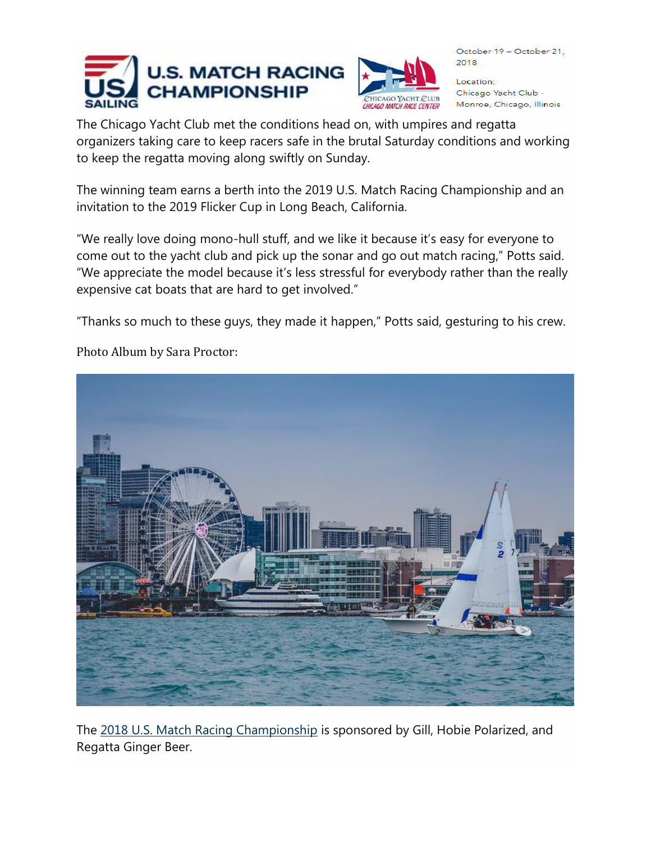



Location: Chicago Yacht Club -Monroe, Chicago, Illinois

The Chicago Yacht Club met the conditions head on, with umpires and regatta organizers taking care to keep racers safe in the brutal Saturday conditions and working to keep the regatta moving along swiftly on Sunday.

The winning team earns a berth into the 2019 U.S. Match Racing Championship and an invitation to the 2019 Flicker Cup in Long Beach, California.

"We really love doing mono-hull stuff, and we like it because it's easy for everyone to come out to the yacht club and pick up the sonar and go out match racing," Potts said. "We appreciate the model because it's less stressful for everybody rather than the really expensive cat boats that are hard to get involved."

"Thanks so much to these guys, they made it happen," Potts said, gesturing to his crew.



Photo Album by Sara Proctor:

The 2018 U.S. [Match Racing Championship](https://www.ussailing.org/competition/championships/u-s-match-racing-championship/) is sponsored by Gill, Hobie Polarized, and Regatta Ginger Beer.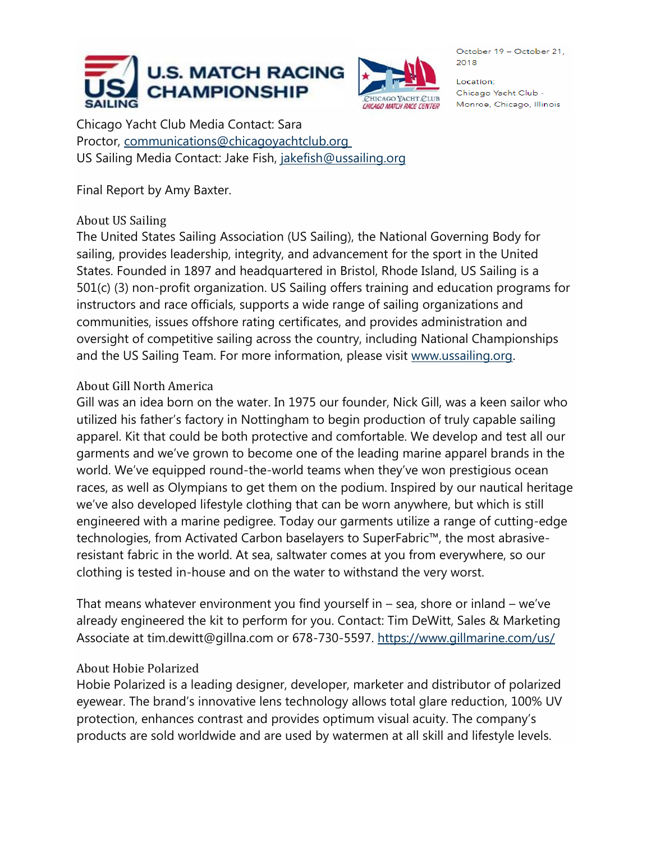



Location: Chicago Yacht Club -Monroe, Chicago, Illinois

Chicago Yacht Club Media Contact: Sara Proctor, [communications@chicagoyachtclub.org](mailto:communications@chicagoyachtclub.org) US Sailing Media Contact: Jake Fish, [jakefish@ussailing.org](mailto:jakefish@ussailing.org)

Final Report by Amy Baxter.

## About US Sailing

The United States Sailing Association (US Sailing), the National Governing Body for sailing, provides leadership, integrity, and advancement for the sport in the United States. Founded in 1897 and headquartered in Bristol, Rhode Island, US Sailing is a 501(c) (3) non-profit organization. US Sailing offers training and education programs for instructors and race officials, supports a wide range of sailing organizations and communities, issues offshore rating certificates, and provides administration and oversight of competitive sailing across the country, including National Championships and the US Sailing Team. For more information, please visit [www.ussailing.org.](http://www.ussailing.org/)

## About Gill North America

Gill was an idea born on the water. In 1975 our founder, Nick Gill, was a keen sailor who utilized his father's factory in Nottingham to begin production of truly capable sailing apparel. Kit that could be both protective and comfortable. We develop and test all our garments and we've grown to become one of the leading marine apparel brands in the world. We've equipped round-the-world teams when they've won prestigious ocean races, as well as Olympians to get them on the podium. Inspired by our nautical heritage we've also developed lifestyle clothing that can be worn anywhere, but which is still engineered with a marine pedigree. Today our garments utilize a range of cutting-edge technologies, from Activated Carbon baselayers to SuperFabric™, the most abrasiveresistant fabric in the world. At sea, saltwater comes at you from everywhere, so our clothing is tested in-house and on the water to withstand the very worst.

That means whatever environment you find yourself in – sea, shore or inland – we've already engineered the kit to perform for you. Contact: Tim DeWitt, Sales & Marketing Associate at tim.dewitt@gillna.com or 678-730-5597. <https://www.gillmarine.com/us/>

## About Hobie Polarized

Hobie Polarized is a leading designer, developer, marketer and distributor of polarized eyewear. The brand's innovative lens technology allows total glare reduction, 100% UV protection, enhances contrast and provides optimum visual acuity. The company's products are sold worldwide and are used by watermen at all skill and lifestyle levels.